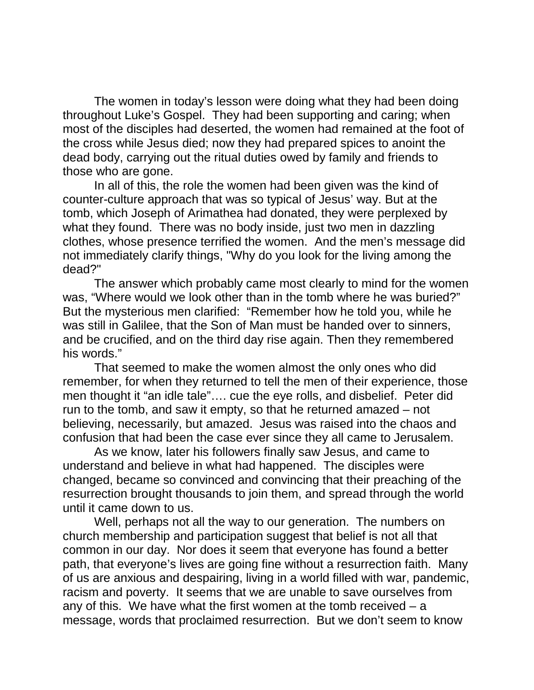The women in today's lesson were doing what they had been doing throughout Luke's Gospel. They had been supporting and caring; when most of the disciples had deserted, the women had remained at the foot of the cross while Jesus died; now they had prepared spices to anoint the dead body, carrying out the ritual duties owed by family and friends to those who are gone.

In all of this, the role the women had been given was the kind of counter-culture approach that was so typical of Jesus' way. But at the tomb, which Joseph of Arimathea had donated, they were perplexed by what they found. There was no body inside, just two men in dazzling clothes, whose presence terrified the women. And the men's message did not immediately clarify things, "Why do you look for the living among the dead?"

The answer which probably came most clearly to mind for the women was, "Where would we look other than in the tomb where he was buried?" But the mysterious men clarified: "Remember how he told you, while he was still in Galilee, that the Son of Man must be handed over to sinners, and be crucified, and on the third day rise again. Then they remembered his words."

That seemed to make the women almost the only ones who did remember, for when they returned to tell the men of their experience, those men thought it "an idle tale"…. cue the eye rolls, and disbelief. Peter did run to the tomb, and saw it empty, so that he returned amazed – not believing, necessarily, but amazed. Jesus was raised into the chaos and confusion that had been the case ever since they all came to Jerusalem.

As we know, later his followers finally saw Jesus, and came to understand and believe in what had happened. The disciples were changed, became so convinced and convincing that their preaching of the resurrection brought thousands to join them, and spread through the world until it came down to us.

Well, perhaps not all the way to our generation. The numbers on church membership and participation suggest that belief is not all that common in our day. Nor does it seem that everyone has found a better path, that everyone's lives are going fine without a resurrection faith. Many of us are anxious and despairing, living in a world filled with war, pandemic, racism and poverty. It seems that we are unable to save ourselves from any of this. We have what the first women at the tomb received  $-$  a message, words that proclaimed resurrection. But we don't seem to know